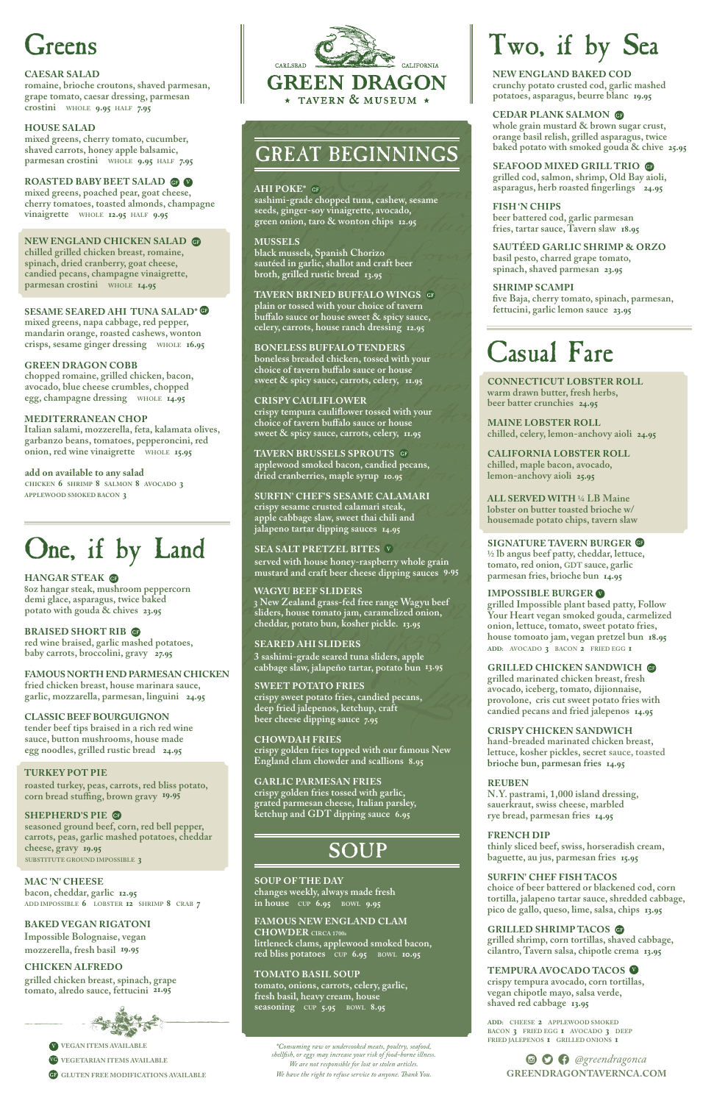## GREAT BEGINNINGS

## **AHI POKE\***

**sashimi-grade chopped tuna, cashew, sesame seeds, ginger-soy vinaigrette, avocado, green onion, taro & wonton chips 12.95**

### **MUSSELS**

**black mussels, Spanish Chorizo sautéed in garlic, shallot and craft beer broth, grilled rustic bread 13.95**

### **TAVERN BRINED BUFFALO WINGS**

**plain or tossed with your choice of tavern buffalo sauce or house sweet & spicy sauce, celery, carrots, house ranch dressing 12.95**

### **BONELESS BUFFALO TENDERS**

**boneless breaded chicken, tossed with your choice of tavern buffalo sauce or house sweet & spicy sauce, carrots, celery, 11.95**

### **CRISPY CAULIFLOWER**

**crispy tempura cauliflower tossed with your choice of tavern buffalo sauce or house sweet & spicy sauce, carrots, celery, 11.95**

**TAVERN BRUSSELS SPROUTS applewood smoked bacon, candied pecans, dried cranberries, maple syrup 10.95**

#### **SURFIN' CHEF'S SESAME CALAMARI**

**crispy sesame crusted calamari steak, apple cabbage slaw, sweet thai chili and jalapeno tartar dipping sauces 14.95**

#### **SEA SALT PRETZEL BITES** <sup>V</sup>

**served with house honey-raspberry whole grain mustard and craft beer cheese dipping sauces 9.95**

#### **WAGYU BEEF SLIDERS**

**3 New Zealand grass-fed free range Wagyu beef sliders, house tomato jam, caramelized onion, cheddar, potato bun, kosher pickle. 13.95**

## **SEARED AHI SLIDERS**

**3 sashimi-grade seared tuna sliders, apple cabbage slaw, jalapeño tartar, potato bun 13.95**

## **SWEET POTATO FRIES**

**crispy sweet potato fries, candied pecans, deep fried jalepenos, ketchup, craft beer cheese dipping sauce 7.95**

## **CHOWDAH FRIES**

**crispy golden fries topped with our famous New England clam chowder and scallions 8.95**

## **GARLIC PARMESAN FRIES**

**crispy golden fries tossed with garlic, grated parmesan cheese, Italian parsley,** 

**ketchup and GDT dipping sauce 6.95**

**SOUP** 

#### **SOUP OF THE DAY**

**changes weekly, always made fresh in house CUP 6.95 BOWL 9.95** 

**FAMOUS NEW ENGLAND CLAM CHOWDER CIRCA 1700s littleneck clams, applewood smoked bacon, red bliss potatoes CUP 6.95 BOWL 10.95**

#### **TOMATO BASIL SOUP**

**tomato, onions, carrots, celery, garlic, fresh basil, heavy cream, house seasoning CUP 5.95 BOWL 8.95**

## reens

#### **CAESAR SALAD**

**romaine, brioche croutons, shaved parmesan, grape tomato, caesar dressing, parmesan crostini WHOLE 9.95 HALF 7.95**

#### **HOUSE SALAD**

**mixed greens, cherry tomato, cucumber, shaved carrots, honey apple balsamic, parmesan crostini WHOLE 9.95 HALF 7.95**

#### **ROASTED BABY BEET SALAD OF V**

**mixed greens, poached pear, goat cheese, cherry tomatoes, toasted almonds, champagne vinaigrette WHOLE 12.95 HALF 9.95**

> $\bullet$  $\bullet$  $\bullet$  *@greendragonca* **GREENDRAGONTAVERNCA.COM**

 **VEGAN ITEMS AVAILABLE** V  **VEGETARIAN ITEMS AVAILABLE** VG

**GP GLUTEN FREE MODIFICATIONS AVAILABLE** 

#### **NEW ENGLAND CHICKEN SALAD**

**chilled grilled chicken breast, romaine, spinach, dried cranberry, goat cheese, candied pecans, champagne vinaigrette, parmesan crostini WHOLE 14.95**

### **SESAME SEARED AHI TUNA SALAD\***

**mixed greens, napa cabbage, red pepper, mandarin orange, roasted cashews, wonton crisps, sesame ginger dressing WHOLE 16.95**

### **GREEN DRAGON COBB**

**chopped romaine, grilled chicken, bacon, avocado, blue cheese crumbles, chopped egg, champagne dressing WHOLE 14.95**

#### **MEDITERRANEAN CHOP**

**Italian salami, mozzerella, feta, kalamata olives, garbanzo beans, tomatoes, pepperoncini, red onion, red wine vinaigrette WHOLE 15.95**

#### **add on available to any salad CHICKEN 6 SHRIMP 8 SALMON 8 AVOCADO 3**

**APPLEWOOD SMOKED BACON 3**

## One, if by Land

## **HANGAR STEAK**

**8oz hangar steak, mushroom peppercorn demi glace, asparagus, twice baked potato with gouda & chives 23.95**

## **BRAISED SHORT RIB**

**red wine braised, garlic mashed potatoes, baby carrots, broccolini, gravy 27.95**

#### **FAMOUS NORTH END PARMESAN CHICKEN fried chicken breast, house marinara sauce,**

**garlic, mozzarella, parmesan, linguini 24.95**

## **CLASSIC BEEF BOURGUIGNON**

**tender beef tips braised in a rich red wine sauce, button mushrooms, house made egg noodles, grilled rustic bread 24.95**

## **TURKEY POT PIE**

**roasted turkey, peas, carrots, red bliss potato, corn bread stuffing, brown gravy 19.95**



## **SHEPHERD'S PIE**

**seasoned ground beef, corn, red bell pepper, carrots, peas, garlic mashed potatoes, cheddar cheese, gravy 19.95 SUBSTITUTE GROUND IMPOSSIBLE 3**

**MAC 'N' CHEESE bacon, cheddar, garlic 12.95 ADD IMPOSSIBLE 6 LOBSTER 12 SHRIMP 8 CRAB 7**

#### **BAKED VEGAN RIGATONI**

**Impossible Bolognaise, vegan mozzerella, fresh basil 19.95**

#### **CHICKEN ALFREDO**

**grilled chicken breast, spinach, grape tomato, alredo sauce, fettucini 21.95**



# Two, if by Sea

**NEW ENGLAND BAKED COD crunchy potato crusted cod, garlic mashed potatoes, asparagus, beurre blanc 19.95**

## **CEDAR PLANK SALMON**

**whole grain mustard & brown sugar crust, orange basil relish, grilled asparagus, twice baked potato with smoked gouda & chive 25.95**

## **SEAFOOD MIXED GRILL TRIO**

**grilled cod, salmon, shrimp, Old Bay aioli, asparagus, herb roasted fingerlings 24.95**

**FISH 'N CHIPS beer battered cod, garlic parmesan fries, tartar sauce, Tavern slaw 18.95**

**SAUTÉED GARLIC SHRIMP & ORZO basil pesto, charred grape tomato, spinach, shaved parmesan 23.95**

## **SHRIMP SCAMPI**

**five Baja, cherry tomato, spinach, parmesan, fettucini, garlic lemon sauce 23.95**

## Casual Fare

**CONNECTICUT LOBSTER ROLL warm drawn butter, fresh herbs, beer batter crunchies 24.95**

**MAINE LOBSTER ROLL chilled, celery, lemon-anchovy aioli 24.95**

**CALIFORNIA LOBSTER ROLL chilled, maple bacon, avocado, lemon-anchovy aioli 25.95**

**ALL SERVED WITH 1/4 LB Maine lobster on butter toasted brioche w/ housemade potato chips, tavern slaw**

#### **SIGNATURE TAVERN BURGER**

**1/2 lb angus beef patty, cheddar, lettuce, tomato, red onion, GDT sauce, garlic parmesan fries, brioche bun 14.95**

**grilled Impossible plant based patty, Follow Your Heart vegan smoked gouda, carmelized onion, lettuce, tomato, sweet potato fries, house tomoato jam, vegan pretzel bun 18.95 ADD: AVOCADO 3 BACON 2 FRIED EGG 1**

## **GRILLED CHICKEN SANDWICH**

**grilled marinated chicken breast, fresh avocado, iceberg, tomato, dijionnaise, provolone, cris cut sweet potato fries with candied pecans and fried jalepenos 14.95**

## **CRISPY CHICKEN SANDWICH**

**hand-breaded marinated chicken breast, lettuce, kosher pickles, secret sauce, toasted brioche bun, parmesan fries 14.95**

## **REUBEN**

**N.Y. pastrami, 1,000 island dressing, sauerkraut, swiss cheese, marbled**

**rye bread, parmesan fries 14.95**

#### **FRENCH DIP**

**thinly sliced beef, swiss, horseradish cream, baguette, au jus, parmesan fries 15.95**

## **IMPOSSIBLE BURGER** V

#### **SURFIN' CHEF FISH TACOS**

**choice of beer battered or blackened cod, corn tortilla, jalapeno tartar sauce, shredded cabbage, pico de gallo, queso, lime, salsa, chips 13.95** 

#### **GRILLED SHRIMP TACOS**

**grilled shrimp, corn tortillas, shaved cabbage, cilantro, Tavern salsa, chipotle crema 13.95**

**TEMPURA AVOCADO TACOS** V **crispy tempura avocado, corn tortillas, vegan chipotle mayo, salsa verde, shaved red cabbage 13.95**

**ADD: CHEESE 2 APPLEWOOD SMOKED BACON 3 FRIED EGG 1 AVOCADO 3 DEEP** 

**FRIED JALEPENOS <sup>1</sup> GRILLED ONIONS <sup>1</sup>** *\*Consuming raw or undercooked meats, poultry, seafood, shellfish, or eggs may increase your risk of food-borne illness. We are not responsible for lost or stolen articles. We have the right to refuse service to anyone. Thank You.*